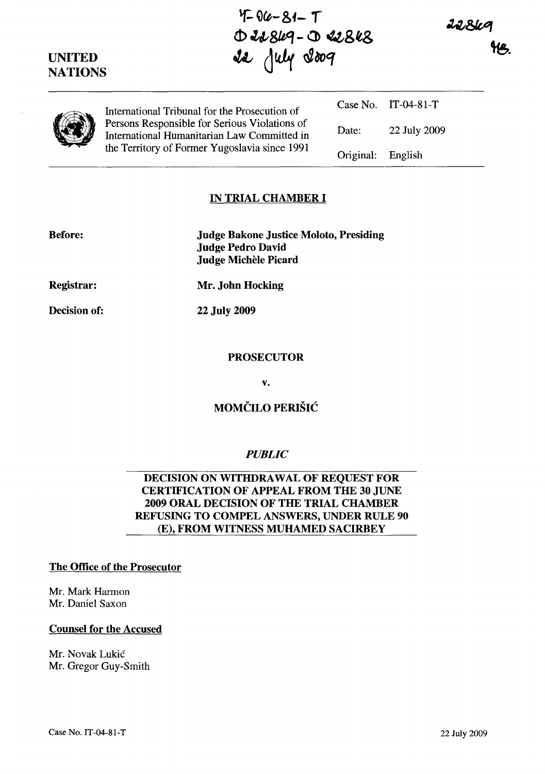$4-84-7$  $\Delta$  41849 -  $\Delta$  41848 ~ d~ *a2ao<q* 

22869

|  | International Tribunal for the Prosecution of<br>Persons Responsible for Serious Violations of<br>International Humanitarian Law Committed in<br>the Territory of Former Yugoslavia since 1991 |                   | Case No. IT-04-81-T |
|--|------------------------------------------------------------------------------------------------------------------------------------------------------------------------------------------------|-------------------|---------------------|
|  |                                                                                                                                                                                                | Date:             | 22 July 2009        |
|  |                                                                                                                                                                                                | Original: English |                     |

# IN TRIAL CHAMBER I

| <b>Before:</b>    | <b>Judge Bakone Justice Moloto, Presiding</b><br><b>Judge Pedro David</b> |
|-------------------|---------------------------------------------------------------------------|
|                   | Judge Michèle Picard                                                      |
| <b>Registrar:</b> | Mr. John Hocking                                                          |

22 July 2009

**PROSECUTOR** 

v.

## MOMČILO PERIŠIĆ

### *PUBLIC*

#### DECISION ON WITHDRAWAL OF REQUEST FOR CERTIFICATION OF APPEAL FROM THE 30 JUNE 2009 ORAL DECISION OF THE TRIAL CHAMBER REFUSING TO COMPEL ANSWERS, UNDER RULE 90 (E), FROM WITNESS MUHAMED SACIRBEY

#### The Office of the Prosecutor

Mr. Mark Harmon Mr. Daniel Saxon

#### Counsel for the Accused

Mr. Novak Lukic Mr. Gregor Guy-Smith

UNITED **NATIONS** 

Before:

Decision of: